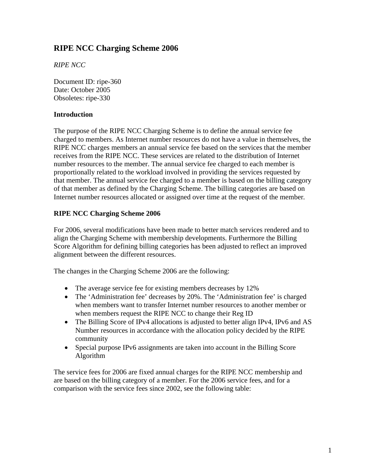# **RIPE NCC Charging Scheme 2006**

*RIPE NCC* 

Document ID: ripe-360 Date: October 2005 Obsoletes: ripe-330

## **Introduction**

The purpose of the RIPE NCC Charging Scheme is to define the annual service fee charged to members. As Internet number resources do not have a value in themselves, the RIPE NCC charges members an annual service fee based on the services that the member receives from the RIPE NCC. These services are related to the distribution of Internet number resources to the member. The annual service fee charged to each member is proportionally related to the workload involved in providing the services requested by that member. The annual service fee charged to a member is based on the billing category of that member as defined by the Charging Scheme. The billing categories are based on Internet number resources allocated or assigned over time at the request of the member*.*

## **RIPE NCC Charging Scheme 2006**

For 2006, several modifications have been made to better match services rendered and to align the Charging Scheme with membership developments. Furthermore the Billing Score Algorithm for defining billing categories has been adjusted to reflect an improved alignment between the different resources.

The changes in the Charging Scheme 2006 are the following:

- The average service fee for existing members decreases by 12%
- The 'Administration fee' decreases by 20%. The 'Administration fee' is charged when members want to transfer Internet number resources to another member or when members request the RIPE NCC to change their Reg ID
- The Billing Score of IPv4 allocations is adjusted to better align IPv4, IPv6 and AS Number resources in accordance with the allocation policy decided by the RIPE community
- Special purpose IPv6 assignments are taken into account in the Billing Score Algorithm

The service fees for 2006 are fixed annual charges for the RIPE NCC membership and are based on the billing category of a member. For the 2006 service fees, and for a comparison with the service fees since 2002, see the following table: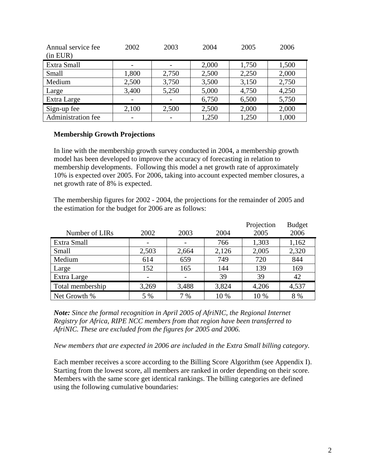| Annual service fee<br>(in EUR) | 2002  | 2003  | 2004  | 2005  | 2006  |
|--------------------------------|-------|-------|-------|-------|-------|
| Extra Small                    |       |       | 2,000 | 1,750 | 1,500 |
| Small                          | 1,800 | 2,750 | 2,500 | 2,250 | 2,000 |
| Medium                         | 2,500 | 3,750 | 3,500 | 3,150 | 2,750 |
| Large                          | 3,400 | 5,250 | 5,000 | 4,750 | 4,250 |
| Extra Large                    |       |       | 6,750 | 6,500 | 5,750 |
| Sign-up fee                    | 2,100 | 2,500 | 2,500 | 2,000 | 2,000 |
| <b>Administration fee</b>      |       |       | 1,250 | 1,250 | 1,000 |

## **Membership Growth Projections**

In line with the membership growth survey conducted in 2004, a membership growth model has been developed to improve the accuracy of forecasting in relation to membership developments. Following this model a net growth rate of approximately 10% is expected over 2005. For 2006, taking into account expected member closures, a net growth rate of 8% is expected.

The membership figures for 2002 - 2004, the projections for the remainder of 2005 and the estimation for the budget for 2006 are as follows:

|                  |       |       |       | Projection | <b>Budget</b> |
|------------------|-------|-------|-------|------------|---------------|
| Number of LIRs   | 2002  | 2003  | 2004  | 2005       | 2006          |
| Extra Small      |       |       | 766   | 1,303      | 1,162         |
| Small            | 2,503 | 2,664 | 2,126 | 2,005      | 2,320         |
| Medium           | 614   | 659   | 749   | 720        | 844           |
| Large            | 152   | 165   | 144   | 139        | 169           |
| Extra Large      |       |       | 39    | 39         | 42            |
| Total membership | 3,269 | 3,488 | 3,824 | 4,206      | 4,537         |
| Net Growth %     | 5 %   | 7%    | 10 %  | 10 %       | 8 %           |

*Note: Since the formal recognition in April 2005 of AfriNIC, the Regional Internet Registry for Africa, RIPE NCC members from that region have been transferred to AfriNIC. These are excluded from the figures for 2005 and 2006.* 

*New members that are expected in 2006 are included in the Extra Small billing category.* 

Each member receives a score according to the Billing Score Algorithm (see Appendix I). Starting from the lowest score, all members are ranked in order depending on their score. Members with the same score get identical rankings. The billing categories are defined using the following cumulative boundaries: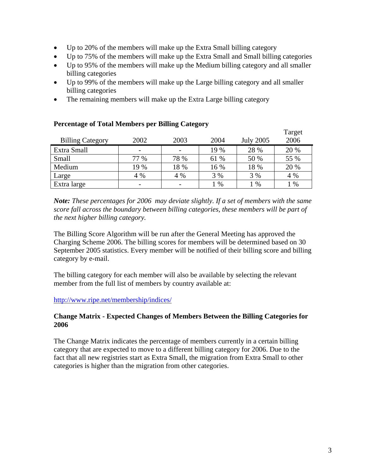- Up to 20% of the members will make up the Extra Small billing category
- Up to 75% of the members will make up the Extra Small and Small billing categories
- Up to 95% of the members will make up the Medium billing category and all smaller billing categories
- Up to 99% of the members will make up the Large billing category and all smaller billing categories
- The remaining members will make up the Extra Large billing category

|                         |                          |      |      |                  | 1 arget |
|-------------------------|--------------------------|------|------|------------------|---------|
| <b>Billing Category</b> | 2002                     | 2003 | 2004 | <b>July 2005</b> | 2006    |
| Extra Small             | $\overline{\phantom{0}}$ |      | 19 % | 28 %             | 20 %    |
| Small                   | 77 %                     | 78 % | 61 % | 50 %             | 55 %    |
| Medium                  | 19 %                     | 18 % | 16 % | 18 %             | 20 %    |
| Large                   | 4 %                      | 4 %  | 3 %  | 3 %              | 4 %     |
| Extra large             | $\overline{\phantom{0}}$ |      | $\%$ | $\%$             | $\%$    |

## **Percentage of Total Members per Billing Category**

*Note: These percentages for 2006 may deviate slightly. If a set of members with the same score fall across the boundary between billing categories, these members will be part of the next higher billing category.* 

The Billing Score Algorithm will be run after the General Meeting has approved the Charging Scheme 2006. The billing scores for members will be determined based on 30 September 2005 statistics. Every member will be notified of their billing score and billing category by e-mail.

The billing category for each member will also be available by selecting the relevant member from the full list of members by country available at:

<http://www.ripe.net/membership/indices/>

## **Change Matrix - Expected Changes of Members Between the Billing Categories for 2006**

The Change Matrix indicates the percentage of members currently in a certain billing category that are expected to move to a different billing category for 2006. Due to the fact that all new registries start as Extra Small, the migration from Extra Small to other categories is higher than the migration from other categories.

 $T<sub>T</sub>$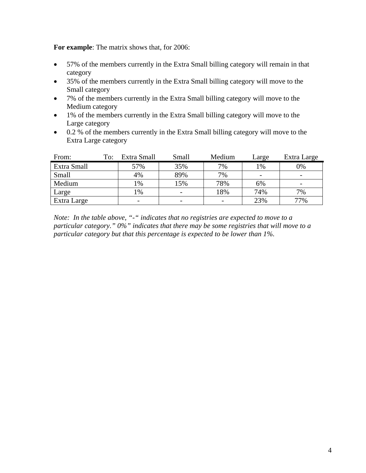**For example**: The matrix shows that, for 2006:

- 57% of the members currently in the Extra Small billing category will remain in that category
- 35% of the members currently in the Extra Small billing category will move to the Small category
- 7% of the members currently in the Extra Small billing category will move to the Medium category
- 1% of the members currently in the Extra Small billing category will move to the Large category
- 0.2 % of the members currently in the Extra Small billing category will move to the Extra Large category

| From:       | To: | Extra Small     | Small | Medium | Large | Extra Large              |
|-------------|-----|-----------------|-------|--------|-------|--------------------------|
| Extra Small |     | 57%             | 35%   | 7%     | 1%    | 0%                       |
| Small       |     | 4%              | 89%   | 7%     |       | $\overline{\phantom{a}}$ |
| Medium      |     | $\frac{0}{0}$   | 15%   | 78%    | 6%    | -                        |
| Large       |     | $\frac{1}{2}$ % |       | 18%    | 74%   | 7%                       |
| Extra Large |     |                 |       |        | 23%   | 77%                      |

*Note: In the table above, "-" indicates that no registries are expected to move to a particular category." 0%" indicates that there may be some registries that will move to a particular category but that this percentage is expected to be lower than 1%.*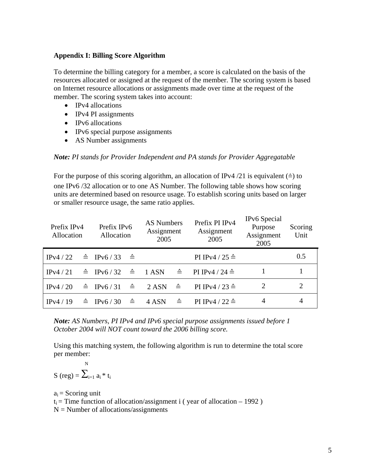## **Appendix I: Billing Score Algorithm**

To determine the billing category for a member, a score is calculated on the basis of the resources allocated or assigned at the request of the member. The scoring system is based on Internet resource allocations or assignments made over time at the request of the member. The scoring system takes into account:

- IPv4 allocations
- IPv4 PI assignments
- IPv6 allocations
- IPv6 special purpose assignments
- AS Number assignments

#### *Note: PI stands for Provider Independent and PA stands for Provider Aggregatable*

For the purpose of this scoring algorithm, an allocation of IPv4 /21 is equivalent  $(\triangle)$  to one IPv6 /32 allocation or to one AS Number. The following table shows how scoring units are determined based on resource usage. To establish scoring units based on larger or smaller resource usage, the same ratio applies.

| Prefix IPv4<br>Allocation | Prefix IPv6<br>Allocation         | <b>AS Numbers</b><br>Assignment<br>2005<br>2005 |              | Prefix PI IPv4<br>Assignment                                              | IPv6 Special<br>Purpose<br>Assignment<br>2005 | Scoring<br>Unit |
|---------------------------|-----------------------------------|-------------------------------------------------|--------------|---------------------------------------------------------------------------|-----------------------------------------------|-----------------|
| IPv4 $/22$                | $\triangle$ IPv6/33 $\triangle$   |                                                 |              | PI IPv4 / 25 $\triangleq$                                                 |                                               | 0.5             |
| IPv4 $/21$                |                                   |                                                 |              | $\triangle$ IPv6/32 $\triangleq$ 1ASN $\triangleq$ PIIPv4/24 $\triangleq$ |                                               |                 |
| IPv4 $/20$                | $\triangleq$ IPv6/31 $\triangleq$ | $2$ ASN $\triangleq$                            |              | PI IPv4 / 23 $\triangleq$                                                 | 2                                             | 2               |
| IPv4/19                   | $\triangleq$ IPv6/30 $\triangleq$ | 4 ASN                                           | $\triangleq$ | PI IPv4 / 22 $\triangleq$                                                 | 4                                             | 4               |

*Note: AS Numbers, PI IPv4 and IPv6 special purpose assignments issued before 1 October 2004 will NOT count toward the 2006 billing score.* 

Using this matching system, the following algorithm is run to determine the total score per member:

 N S (reg) =  $\sum_{i=1}^{\infty} a_i * t_i$ 

 $a_i$  = Scoring unit

 $t_i$  = Time function of allocation/assignment i (year of allocation – 1992)

 $N =$  Number of allocations/assignments